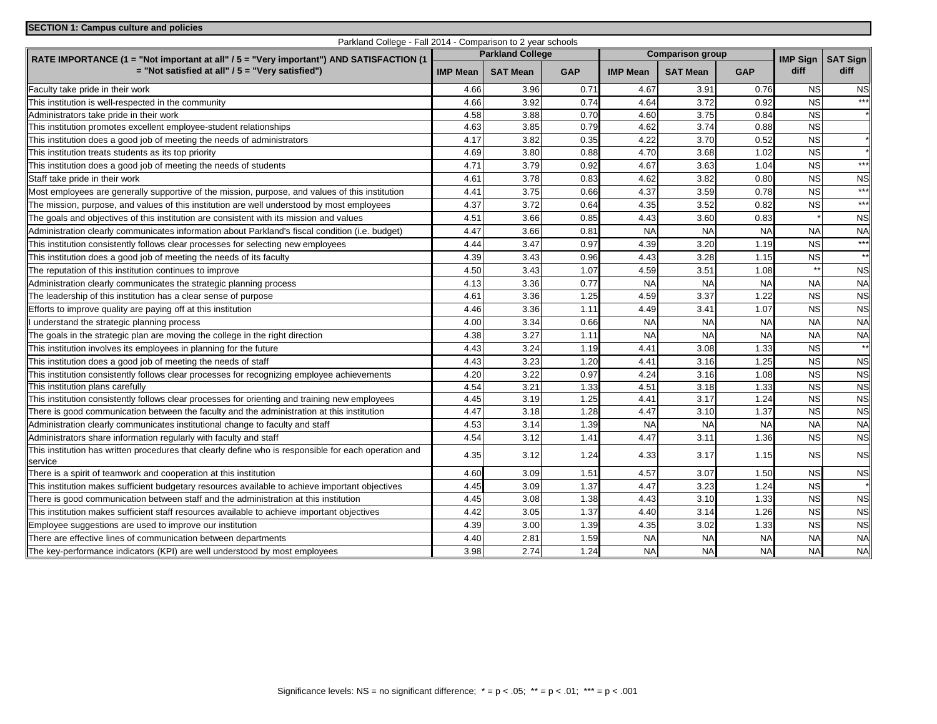| <b>SECTION 1: Campus culture and policies</b>                                                                    |                 |                 |                                                    |                  |                 |                 |                 |                |
|------------------------------------------------------------------------------------------------------------------|-----------------|-----------------|----------------------------------------------------|------------------|-----------------|-----------------|-----------------|----------------|
| Parkland College - Fall 2014 - Comparison to 2 year schools                                                      |                 |                 |                                                    |                  |                 |                 |                 |                |
| RATE IMPORTANCE (1 = "Not important at all" / 5 = "Very important") AND SATISFACTION (1                          |                 |                 | <b>Parkland College</b><br><b>Comparison group</b> |                  |                 | <b>IMP Sign</b> | <b>SAT Sign</b> |                |
| $=$ "Not satisfied at all" / 5 = "Very satisfied")                                                               | <b>IMP Mean</b> | <b>SAT Mean</b> | <b>GAP</b>                                         | <b>IMP Mean</b>  | <b>SAT Mean</b> | <b>GAP</b>      | diff            | diff           |
| Faculty take pride in their work                                                                                 | 4.66            | 3.96            | 0.71                                               | 4.67             | 3.91            | 0.76            | <b>NS</b>       | <b>NS</b>      |
| This institution is well-respected in the community                                                              | 4.66            | 3.92            | 0.74                                               | 4.64             | 3.72            | 0.92            | <b>NS</b>       | $***$          |
| Administrators take pride in their work                                                                          | 4.58            | 3.88            | 0.70                                               | 4.60             | 3.75            | 0.84            | <b>NS</b>       |                |
| This institution promotes excellent employee-student relationships                                               | 4.63            | 3.85            | 0.79                                               | 4.62             | 3.74            | 0.88            | <b>NS</b>       |                |
| This institution does a good job of meeting the needs of administrators                                          | 4.17            | 3.82            | 0.35                                               | 4.22             | 3.70            | 0.52            | <b>NS</b>       |                |
| This institution treats students as its top priority                                                             | 4.69            | 3.80            | 0.88                                               | 4.70             | 3.68            | 1.02            | <b>NS</b>       |                |
| This institution does a good job of meeting the needs of students                                                | 4.71            | 3.79            | 0.92                                               | 4.67             | 3.63            | 1.04            | <b>NS</b>       | $***$          |
| Staff take pride in their work                                                                                   | 4.61            | 3.78            | 0.83                                               | 4.62             | 3.82            | 0.80            | <b>NS</b>       | <b>NS</b>      |
| Most employees are generally supportive of the mission, purpose, and values of this institution                  | 4.41            | 3.75            | 0.66                                               | 4.37             | 3.59            | 0.78            | <b>NS</b>       | $***$          |
| The mission, purpose, and values of this institution are well understood by most employees                       | 4.37            | 3.72            | 0.64                                               | 4.35             | 3.52            | 0.82            | <b>NS</b>       | $***$          |
| The goals and objectives of this institution are consistent with its mission and values                          | 4.51            | 3.66            | 0.85                                               | 4.43             | 3.60            | 0.83            |                 | <b>NS</b>      |
| Administration clearly communicates information about Parkland's fiscal condition (i.e. budget)                  | 4.47            | 3.66            | 0.81                                               | <b>NA</b>        | <b>NA</b>       | <b>NA</b>       | <b>NA</b>       | <b>NA</b>      |
| This institution consistently follows clear processes for selecting new employees                                | 4.44            | 3.47            | 0.97                                               | 4.39             | 3.20            | 1.19            | <b>NS</b>       | $***$          |
| This institution does a good job of meeting the needs of its faculty                                             | 4.39            | 3.43            | 0.96                                               | 4.43             | 3.28            | 1.15            | <b>NS</b>       | $**$           |
| The reputation of this institution continues to improve                                                          | 4.50            | 3.43            | 1.07                                               | 4.59             | 3.51            | 1.08            |                 | <b>NS</b>      |
| Administration clearly communicates the strategic planning process                                               | 4.13            | 3.36            | 0.77                                               | <b>NA</b>        | <b>NA</b>       | <b>NA</b>       | <b>NA</b>       | <b>NA</b>      |
| The leadership of this institution has a clear sense of purpose                                                  | 4.61            | 3.36            | 1.25                                               | 4.59             | 3.37            | 1.22            | <b>NS</b>       | <b>NS</b>      |
| Efforts to improve quality are paying off at this institution                                                    | 4.46            | 3.36            | 1.11                                               | 4.49             | 3.41            | 1.07            | $\overline{NS}$ | <b>NS</b>      |
| understand the strategic planning process                                                                        | 4.00            | 3.34            | 0.66                                               | <b>NA</b>        | <b>NA</b>       | <b>NA</b>       | <b>NA</b>       | <b>NA</b>      |
| The goals in the strategic plan are moving the college in the right direction                                    | 4.38            | 3.27            | 1.11                                               | <b>NA</b>        | <b>NA</b>       | <b>NA</b>       | <b>NA</b>       | <b>NA</b>      |
| This institution involves its employees in planning for the future                                               | 4.43            | 3.24            | 1.19                                               | 4.4 <sup>1</sup> | 3.08            | 1.33            | <b>NS</b>       | $**$           |
| This institution does a good job of meeting the needs of staff                                                   | 4.43            | 3.23            | 1.20                                               | 4.41             | 3.16            | 1.25            | <b>NS</b>       | <b>NS</b>      |
| This institution consistently follows clear processes for recognizing employee achievements                      | 4.20            | 3.22            | 0.97                                               | 4.24             | 3.16            | 1.08            | <b>NS</b>       | <b>NS</b>      |
| This institution plans carefully                                                                                 | 4.54            | 3.21            | 1.33                                               | 4.51             | 3.18            | 1.33            | $\overline{NS}$ | <b>NS</b>      |
| This institution consistently follows clear processes for orienting and training new employees                   | 4.45            | 3.19            | 1.25                                               | 4.41             | 3.17            | 1.24            | <b>NS</b>       | <b>NS</b>      |
| There is good communication between the faculty and the administration at this institution                       | 4.47            | 3.18            | 1.28                                               | 4.47             | 3.10            | 1.37            | <b>NS</b>       | N <sub>S</sub> |
| Administration clearly communicates institutional change to faculty and staff                                    | 4.53            | 3.14            | 1.39                                               | <b>NA</b>        | <b>NA</b>       | <b>NA</b>       | <b>NA</b>       | <b>NA</b>      |
| Administrators share information regularly with faculty and staff                                                | 4.54            | 3.12            | 1.41                                               | 4.47             | 3.11            | 1.36            | <b>NS</b>       | NS             |
| This institution has written procedures that clearly define who is responsible for each operation and<br>service | 4.35            | 3.12            | 1.24                                               | 4.33             | 3.17            | 1.15            | <b>NS</b>       | <b>NS</b>      |
| There is a spirit of teamwork and cooperation at this institution                                                | 4.60            | 3.09            | 1.51                                               | 4.57             | 3.07            | 1.50            | <b>NS</b>       | N <sub>S</sub> |
| This institution makes sufficient budgetary resources available to achieve important objectives                  | 4.45            | 3.09            | 1.37                                               | 4.47             | 3.23            | 1.24            | <b>NS</b>       |                |
| There is good communication between staff and the administration at this institution                             | 4.45            | 3.08            | 1.38                                               | 4.43             | 3.10            | 1.33            | <b>NS</b>       | N <sub>S</sub> |
| This institution makes sufficient staff resources available to achieve important objectives                      | 4.42            | 3.05            | 1.37                                               | 4.40             | 3.14            | 1.26            | <b>NS</b>       | <b>NS</b>      |
| Employee suggestions are used to improve our institution                                                         | 4.39            | 3.00            | 1.39                                               | 4.35             | 3.02            | 1.33            | <b>NS</b>       | <b>NS</b>      |
| There are effective lines of communication between departments                                                   | 4.40            | 2.81            | 1.59                                               | <b>NA</b>        | <b>NA</b>       | <b>NA</b>       | <b>NA</b>       | <b>NA</b>      |
| The key-performance indicators (KPI) are well understood by most employees                                       | 3.98            | 2.74            | 1.24                                               | <b>NA</b>        | <b>NA</b>       | <b>NA</b>       | <b>NA</b>       | <b>NA</b>      |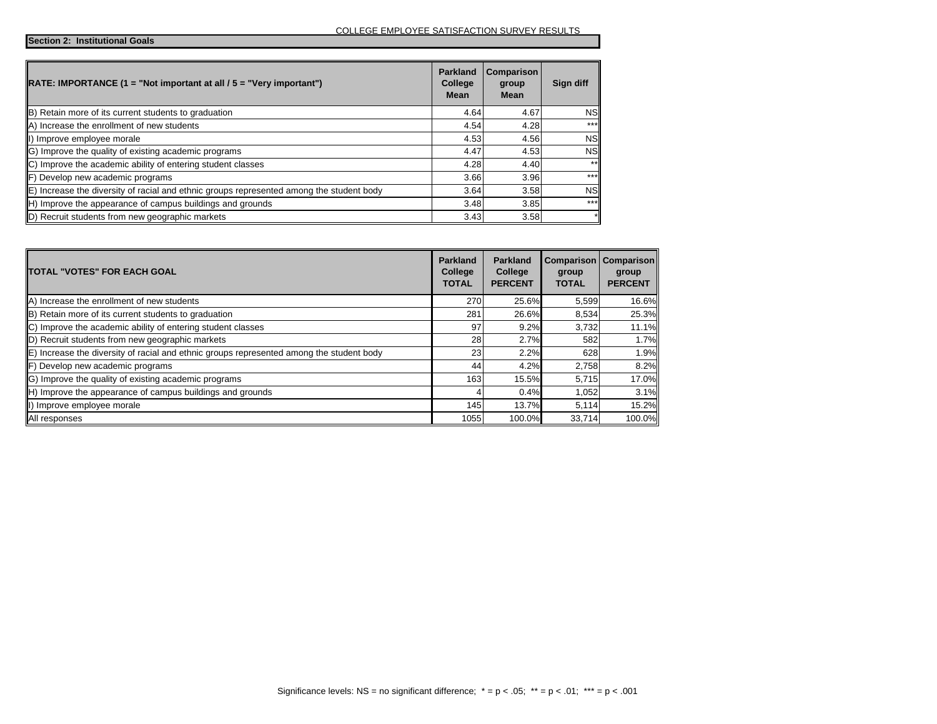**Section 2: Institutional Goals**

| $\vert$ RATE: IMPORTANCE (1 = "Not important at all / 5 = "Very important")                         | <b>Parkland</b><br>College<br>Mean | Comparison<br>group<br>Mean | Sign diff |
|-----------------------------------------------------------------------------------------------------|------------------------------------|-----------------------------|-----------|
| B) Retain more of its current students to graduation                                                | 4.64                               | 4.67                        | <b>NS</b> |
| A) Increase the enrollment of new students                                                          | 4.54                               | 4.28                        | $***$     |
| II) Improve employee morale                                                                         | 4.53                               | 4.56                        | <b>NS</b> |
| G) Improve the quality of existing academic programs                                                | 4.47                               | 4.53                        | <b>NS</b> |
| C) Improve the academic ability of entering student classes                                         | 4.28                               | 4.40                        | $***$     |
| <b>F</b> ) Develop new academic programs                                                            | 3.66                               | 3.96                        | $* * *$   |
| $\mathbb E$ ) Increase the diversity of racial and ethnic groups represented among the student body | 3.64                               | 3.58                        | <b>NS</b> |
| H) Improve the appearance of campus buildings and grounds                                           | 3.48                               | 3.85                        | $***$     |
| D) Recruit students from new geographic markets                                                     | 3.43                               | 3.58                        |           |

| <b>TOTAL "VOTES" FOR EACH GOAL</b>                                                       | <b>Parkland</b><br>College<br><b>TOTAL</b> | <b>Parkland</b><br>College<br><b>PERCENT</b> | Comparison<br>group<br><b>TOTAL</b> | <b>Comparison</b><br>group<br><b>PERCENT</b> |
|------------------------------------------------------------------------------------------|--------------------------------------------|----------------------------------------------|-------------------------------------|----------------------------------------------|
| A) Increase the enrollment of new students                                               | 270                                        | 25.6%                                        | 5,599                               | 16.6%                                        |
| B) Retain more of its current students to graduation                                     | 281                                        | 26.6%                                        | 8.534                               | 25.3%                                        |
| C) Improve the academic ability of entering student classes                              | 97                                         | 9.2%                                         | 3,732                               | 11.1%                                        |
| D) Recruit students from new geographic markets                                          | 28                                         | 2.7%                                         | 582                                 | 1.7%                                         |
| E) Increase the diversity of racial and ethnic groups represented among the student body | 23                                         | 2.2%                                         | 628                                 | 1.9%                                         |
| <b>F</b> ) Develop new academic programs                                                 | 44                                         | 4.2%                                         | 2,758                               | 8.2%                                         |
| IG) Improve the quality of existing academic programs                                    | 163                                        | 15.5%                                        | 5,715                               | 17.0%                                        |
| H) Improve the appearance of campus buildings and grounds                                |                                            | 0.4%                                         | 1,052                               | 3.1%                                         |
| II) Improve employee morale                                                              | 145                                        | 13.7%                                        | 5,114                               | 15.2%                                        |
| All responses                                                                            | 1055                                       | 100.0%                                       | 33,714                              | 100.0%                                       |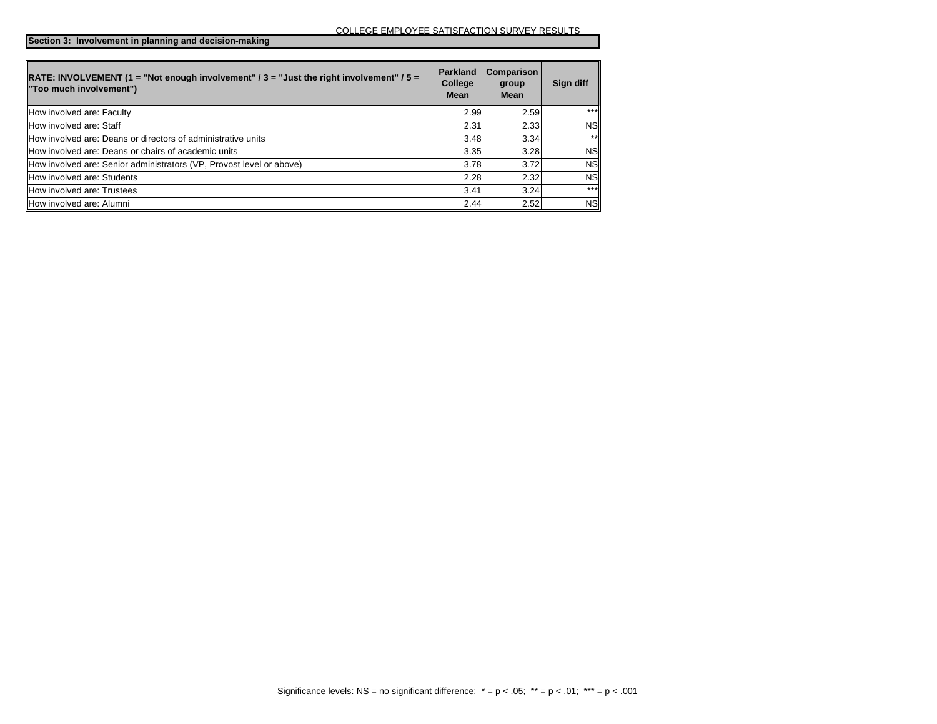**Section 3: Involvement in planning and decision-making**

| <b>RATE: INVOLVEMENT (1 = "Not enough involvement" / 3 = "Just the right involvement" / 5 =</b><br>"Too much involvement") | <b>Parkland</b><br>College<br><b>Mean</b> | Comparison<br>group<br><b>Mean</b> | Sign diff |
|----------------------------------------------------------------------------------------------------------------------------|-------------------------------------------|------------------------------------|-----------|
| How involved are: Faculty                                                                                                  | 2.99                                      | 2.59                               | $***$     |
| How involved are: Staff                                                                                                    | 2.31                                      | 2.33                               | <b>NS</b> |
| How involved are: Deans or directors of administrative units                                                               | 3.48                                      | 3.34                               | $**$      |
| <b>IHow involved are: Deans or chairs of academic units</b>                                                                | 3.35                                      | 3.28                               | <b>NS</b> |
| How involved are: Senior administrators (VP, Provost level or above)                                                       | 3.78                                      | 3.72                               | <b>NS</b> |
| How involved are: Students                                                                                                 | 2.28                                      | 2.32                               | <b>NS</b> |
| <b>How involved are: Trustees</b>                                                                                          | 3.41                                      | 3.24                               | $***$     |
| How involved are: Alumni                                                                                                   | 2.44                                      | 2.52                               | <b>NS</b> |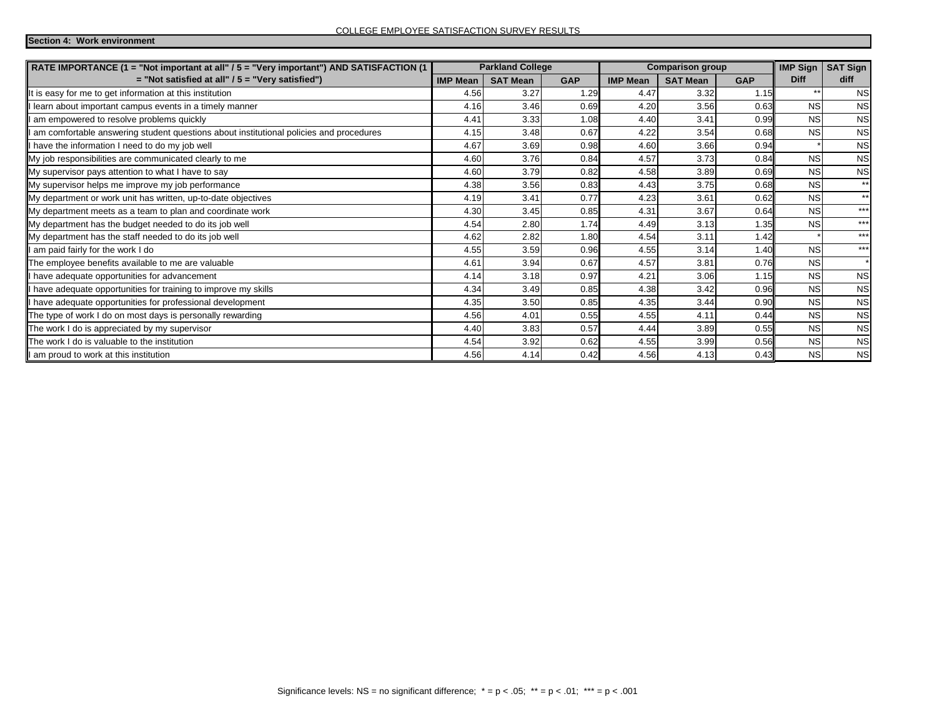**Section 4: Work environment**

| <b>Parkland College</b><br>RATE IMPORTANCE (1 = "Not important at all" / 5 = "Very important") AND SATISFACTION (1 |                 |                 |            | <b>Comparison group</b> |                 | <b>IMP Sign</b> | <b>SAT Sign</b> |           |
|--------------------------------------------------------------------------------------------------------------------|-----------------|-----------------|------------|-------------------------|-----------------|-----------------|-----------------|-----------|
| $=$ "Not satisfied at all" / 5 = "Very satisfied")                                                                 | <b>IMP Mean</b> | <b>SAT Mean</b> | <b>GAP</b> | <b>IMP Mean</b>         | <b>SAT Mean</b> | <b>GAP</b>      | <b>Diff</b>     | diff      |
| It is easy for me to get information at this institution                                                           | 4.56            | 3.27            | 1.29       | 4.47                    | 3.32            | 1.15            | $**$            | <b>NS</b> |
| learn about important campus events in a timely manner                                                             | 4.16            | 3.46            | 0.69       | 4.20                    | 3.56            | 0.63            | <b>NS</b>       | <b>NS</b> |
| am empowered to resolve problems quickly                                                                           | 4.41            | 3.33            | 1.08       | 4.40                    | 3.41            | 0.99            | <b>NS</b>       | <b>NS</b> |
| am comfortable answering student questions about institutional policies and procedures                             | 4.15            | 3.48            | 0.67       | 4.22                    | 3.54            | 0.68            | <b>NS</b>       | <b>NS</b> |
| have the information I need to do my job well                                                                      | 4.67            | 3.69            | 0.98       | 4.60                    | 3.66            | 0.94            |                 | <b>NS</b> |
| My job responsibilities are communicated clearly to me                                                             | 4.60            | 3.76            | 0.84       | 4.57                    | 3.73            | 0.84            | <b>NS</b>       | <b>NS</b> |
| My supervisor pays attention to what I have to say                                                                 | 4.60            | 3.79            | 0.82       | 4.58                    | 3.89            | 0.69            | <b>NS</b>       | <b>NS</b> |
| My supervisor helps me improve my job performance                                                                  | 4.38            | 3.56            | 0.83       | 4.43                    | 3.75            | 0.68            | <b>NS</b>       | $**$      |
| My department or work unit has written, up-to-date objectives                                                      | 4.19            | 3.41            | 0.77       | 4.23                    | 3.61            | 0.62            | <b>NS</b>       | $**$      |
| My department meets as a team to plan and coordinate work                                                          | 4.30            | 3.45            | 0.85       | 4.31                    | 3.67            | 0.64            | <b>NS</b>       | $***$     |
| My department has the budget needed to do its job well                                                             | 4.54            | 2.80            | 1.74       | 4.49                    | 3.13            | 1.35            | <b>NS</b>       | $***$     |
| My department has the staff needed to do its job well                                                              | 4.62            | 2.82            | 1.80       | 4.54                    | 3.11            | 1.42            |                 | $***$     |
| am paid fairly for the work I do                                                                                   | 4.55            | 3.59            | 0.96       | 4.55                    | 3.14            | 1.40            | <b>NS</b>       | $***$     |
| The employee benefits available to me are valuable                                                                 | 4.61            | 3.94            | 0.67       | 4.57                    | 3.81            | 0.76            | <b>NS</b>       | $\star$   |
| have adequate opportunities for advancement                                                                        | 4.14            | 3.18            | 0.97       | 4.21                    | 3.06            | 1.15            | <b>NS</b>       | <b>NS</b> |
| have adequate opportunities for training to improve my skills                                                      | 4.34            | 3.49            | 0.85       | 4.38                    | 3.42            | 0.96            | <b>NS</b>       | <b>NS</b> |
| have adequate opportunities for professional development                                                           | 4.35            | 3.50            | 0.85       | 4.35                    | 3.44            | 0.90            | <b>NS</b>       | <b>NS</b> |
| The type of work I do on most days is personally rewarding                                                         | 4.56            | 4.01            | 0.55       | 4.55                    | 4.11            | 0.44            | <b>NS</b>       | <b>NS</b> |
| The work I do is appreciated by my supervisor                                                                      | 4.40            | 3.83            | 0.57       | 4.44                    | 3.89            | 0.55            | <b>NS</b>       | <b>NS</b> |
| The work I do is valuable to the institution                                                                       | 4.54            | 3.92            | 0.62       | 4.55                    | 3.99            | 0.56            | <b>NS</b>       | <b>NS</b> |
| I am proud to work at this institution                                                                             | 4.56            | 4.14            | 0.42       | 4.56                    | 4.13            | 0.43            | <b>NS</b>       | <b>NS</b> |